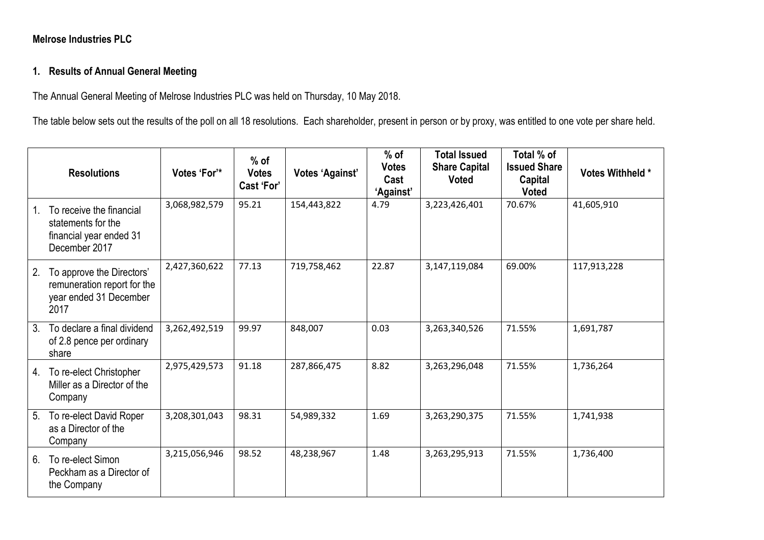## **Melrose Industries PLC**

## **1. Results of Annual General Meeting**

The Annual General Meeting of Melrose Industries PLC was held on Thursday, 10 May 2018.

The table below sets out the results of the poll on all 18 resolutions. Each shareholder, present in person or by proxy, was entitled to one vote per share held.

|                | <b>Resolutions</b>                                                                         | Votes 'For'*  | $%$ of<br><b>Votes</b><br>Cast 'For' | <b>Votes 'Against'</b> | $%$ of<br><b>Votes</b><br>Cast<br>'Against' | <b>Total Issued</b><br><b>Share Capital</b><br><b>Voted</b> | Total % of<br><b>Issued Share</b><br>Capital<br><b>Voted</b> | Votes Withheld * |
|----------------|--------------------------------------------------------------------------------------------|---------------|--------------------------------------|------------------------|---------------------------------------------|-------------------------------------------------------------|--------------------------------------------------------------|------------------|
| 1.             | To receive the financial<br>statements for the<br>financial year ended 31<br>December 2017 | 3,068,982,579 | 95.21                                | 154,443,822            | 4.79                                        | 3,223,426,401                                               | 70.67%                                                       | 41,605,910       |
| 2.             | To approve the Directors'<br>remuneration report for the<br>year ended 31 December<br>2017 | 2,427,360,622 | 77.13                                | 719,758,462            | 22.87                                       | 3,147,119,084                                               | 69.00%                                                       | 117,913,228      |
| $3_{\cdot}$    | To declare a final dividend<br>of 2.8 pence per ordinary<br>share                          | 3,262,492,519 | 99.97                                | 848,007                | 0.03                                        | 3,263,340,526                                               | 71.55%                                                       | 1,691,787        |
| 4.             | To re-elect Christopher<br>Miller as a Director of the<br>Company                          | 2,975,429,573 | 91.18                                | 287,866,475            | 8.82                                        | 3,263,296,048                                               | 71.55%                                                       | 1,736,264        |
| 5 <sub>1</sub> | To re-elect David Roper<br>as a Director of the<br>Company                                 | 3,208,301,043 | 98.31                                | 54,989,332             | 1.69                                        | 3,263,290,375                                               | 71.55%                                                       | 1,741,938        |
| 6.             | To re-elect Simon<br>Peckham as a Director of<br>the Company                               | 3,215,056,946 | 98.52                                | 48,238,967             | 1.48                                        | 3,263,295,913                                               | 71.55%                                                       | 1,736,400        |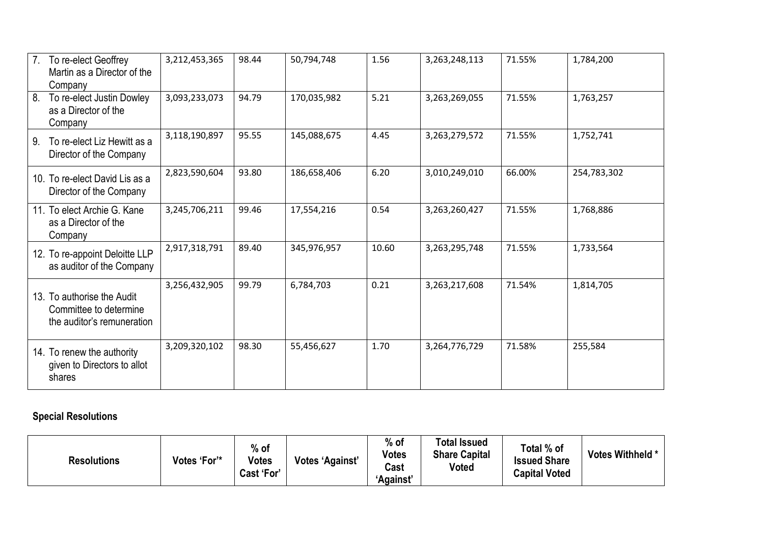| To re-elect Geoffrey<br>$7_{\cdot}$<br>Martin as a Director of the<br>Company      | 3,212,453,365 | 98.44 | 50,794,748  | 1.56  | 3,263,248,113 | 71.55% | 1,784,200   |
|------------------------------------------------------------------------------------|---------------|-------|-------------|-------|---------------|--------|-------------|
| To re-elect Justin Dowley<br>8.<br>as a Director of the<br>Company                 | 3,093,233,073 | 94.79 | 170,035,982 | 5.21  | 3,263,269,055 | 71.55% | 1,763,257   |
| To re-elect Liz Hewitt as a<br>9.<br>Director of the Company                       | 3,118,190,897 | 95.55 | 145,088,675 | 4.45  | 3,263,279,572 | 71.55% | 1,752,741   |
| 10. To re-elect David Lis as a<br>Director of the Company                          | 2,823,590,604 | 93.80 | 186,658,406 | 6.20  | 3,010,249,010 | 66.00% | 254,783,302 |
| 11. To elect Archie G. Kane<br>as a Director of the<br>Company                     | 3,245,706,211 | 99.46 | 17,554,216  | 0.54  | 3,263,260,427 | 71.55% | 1,768,886   |
| 12. To re-appoint Deloitte LLP<br>as auditor of the Company                        | 2,917,318,791 | 89.40 | 345,976,957 | 10.60 | 3,263,295,748 | 71.55% | 1,733,564   |
| 13. To authorise the Audit<br>Committee to determine<br>the auditor's remuneration | 3,256,432,905 | 99.79 | 6,784,703   | 0.21  | 3,263,217,608 | 71.54% | 1,814,705   |
| 14. To renew the authority<br>given to Directors to allot<br>shares                | 3,209,320,102 | 98.30 | 55,456,627  | 1.70  | 3,264,776,729 | 71.58% | 255,584     |

# **Special Resolutions**

| Votes 'For'*<br><b>Resolutions</b> | $%$ of<br><b>Votes</b><br>Cast 'For' | <b>Votes 'Against'</b> | $%$ of<br><b>Votes</b><br>Cast<br>'Against' | Total Issued<br><b>Share Capital</b><br>Voted | Total % of<br><b>Issued Share</b><br><b>Capital Voted</b> | Votes Withheld * |
|------------------------------------|--------------------------------------|------------------------|---------------------------------------------|-----------------------------------------------|-----------------------------------------------------------|------------------|
|------------------------------------|--------------------------------------|------------------------|---------------------------------------------|-----------------------------------------------|-----------------------------------------------------------|------------------|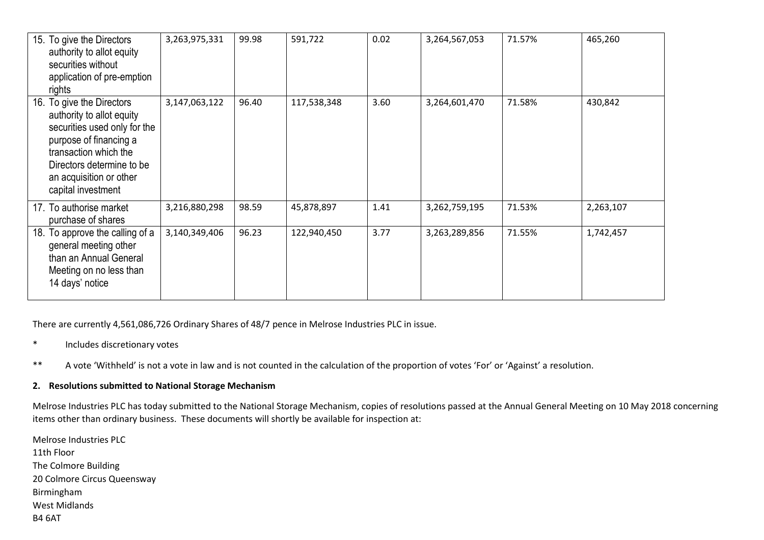| 15. To give the Directors<br>authority to allot equity<br>securities without<br>application of pre-emption<br>rights                                                                                                    | 3,263,975,331 | 99.98 | 591,722     | 0.02 | 3,264,567,053 | 71.57% | 465,260   |
|-------------------------------------------------------------------------------------------------------------------------------------------------------------------------------------------------------------------------|---------------|-------|-------------|------|---------------|--------|-----------|
| 16. To give the Directors<br>authority to allot equity<br>securities used only for the<br>purpose of financing a<br>transaction which the<br>Directors determine to be<br>an acquisition or other<br>capital investment | 3,147,063,122 | 96.40 | 117,538,348 | 3.60 | 3,264,601,470 | 71.58% | 430,842   |
| 17. To authorise market<br>purchase of shares                                                                                                                                                                           | 3,216,880,298 | 98.59 | 45,878,897  | 1.41 | 3,262,759,195 | 71.53% | 2,263,107 |
| To approve the calling of a<br>18.<br>general meeting other<br>than an Annual General<br>Meeting on no less than<br>14 days' notice                                                                                     | 3,140,349,406 | 96.23 | 122,940,450 | 3.77 | 3,263,289,856 | 71.55% | 1,742,457 |

There are currently 4,561,086,726 Ordinary Shares of 48/7 pence in Melrose Industries PLC in issue.

- \* Includes discretionary votes
- \*\* A vote 'Withheld' is not a vote in law and is not counted in the calculation of the proportion of votes 'For' or 'Against' a resolution.

#### **2. Resolutions submitted to National Storage Mechanism**

Melrose Industries PLC has today submitted to the National Storage Mechanism, copies of resolutions passed at the Annual General Meeting on 10 May 2018 concerning items other than ordinary business. These documents will shortly be available for inspection at:

Melrose Industries PLC 11th Floor The Colmore Building 20 Colmore Circus Queensway Birmingham West Midlands B4 6AT